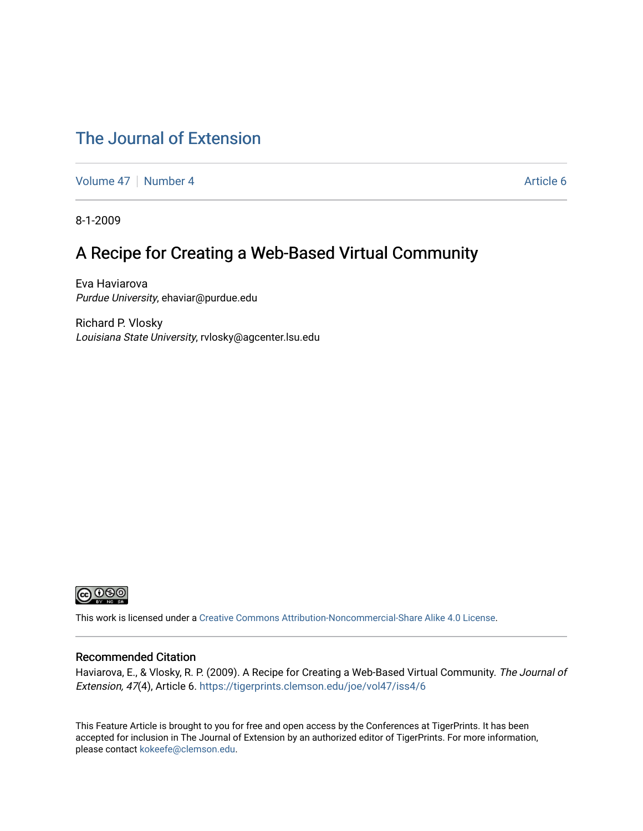## [The Journal of Extension](https://tigerprints.clemson.edu/joe)

[Volume 47](https://tigerprints.clemson.edu/joe/vol47) | [Number 4](https://tigerprints.clemson.edu/joe/vol47/iss4) Article 6

8-1-2009

### A Recipe for Creating a Web-Based Virtual Community

Eva Haviarova Purdue University, ehaviar@purdue.edu

Richard P. Vlosky Louisiana State University, rvlosky@agcenter.lsu.edu



This work is licensed under a [Creative Commons Attribution-Noncommercial-Share Alike 4.0 License.](https://creativecommons.org/licenses/by-nc-sa/4.0/)

#### Recommended Citation

Haviarova, E., & Vlosky, R. P. (2009). A Recipe for Creating a Web-Based Virtual Community. The Journal of Extension, 47(4), Article 6.<https://tigerprints.clemson.edu/joe/vol47/iss4/6>

This Feature Article is brought to you for free and open access by the Conferences at TigerPrints. It has been accepted for inclusion in The Journal of Extension by an authorized editor of TigerPrints. For more information, please contact [kokeefe@clemson.edu](mailto:kokeefe@clemson.edu).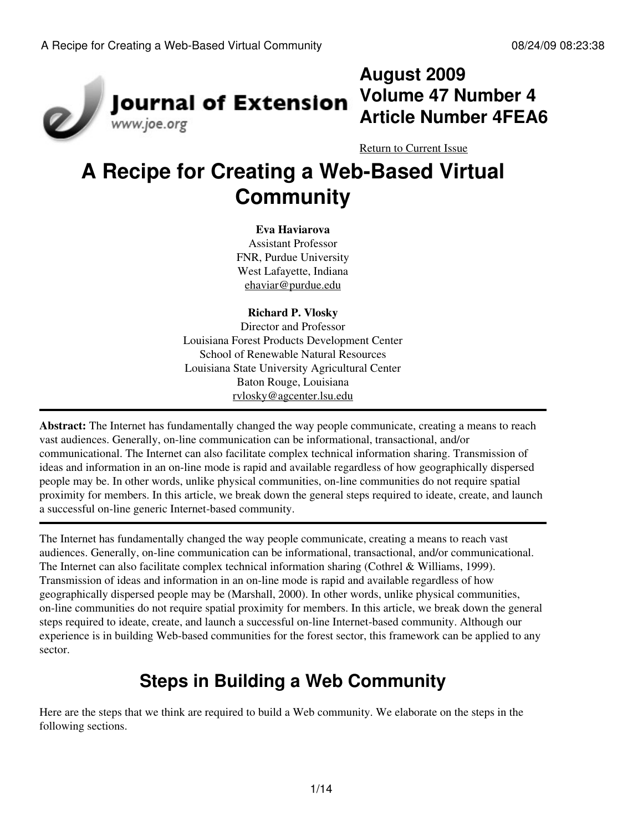

# **August 2009 Volume 47 Number 4 Article Number 4FEA6**

[Return to Current Issue](http://www.joe.org:80/joe/2009august/)

# **A Recipe for Creating a Web-Based Virtual Community**

#### **Eva Haviarova**

Assistant Professor FNR, Purdue University West Lafayette, Indiana [ehaviar@purdue.edu](mailto:ehaviar@purdue.edu)

#### **Richard P. Vlosky**

Director and Professor Louisiana Forest Products Development Center School of Renewable Natural Resources Louisiana State University Agricultural Center Baton Rouge, Louisiana [rvlosky@agcenter.lsu.edu](mailto:rvlosky@agcenter.lsu.edu)

**Abstract:** The Internet has fundamentally changed the way people communicate, creating a means to reach vast audiences. Generally, on-line communication can be informational, transactional, and/or communicational. The Internet can also facilitate complex technical information sharing. Transmission of ideas and information in an on-line mode is rapid and available regardless of how geographically dispersed people may be. In other words, unlike physical communities, on-line communities do not require spatial proximity for members. In this article, we break down the general steps required to ideate, create, and launch a successful on-line generic Internet-based community.

The Internet has fundamentally changed the way people communicate, creating a means to reach vast audiences. Generally, on-line communication can be informational, transactional, and/or communicational. The Internet can also facilitate complex technical information sharing (Cothrel & Williams, 1999). Transmission of ideas and information in an on-line mode is rapid and available regardless of how geographically dispersed people may be (Marshall, 2000). In other words, unlike physical communities, on-line communities do not require spatial proximity for members. In this article, we break down the general steps required to ideate, create, and launch a successful on-line Internet-based community. Although our experience is in building Web-based communities for the forest sector, this framework can be applied to any sector.

# **Steps in Building a Web Community**

Here are the steps that we think are required to build a Web community. We elaborate on the steps in the following sections.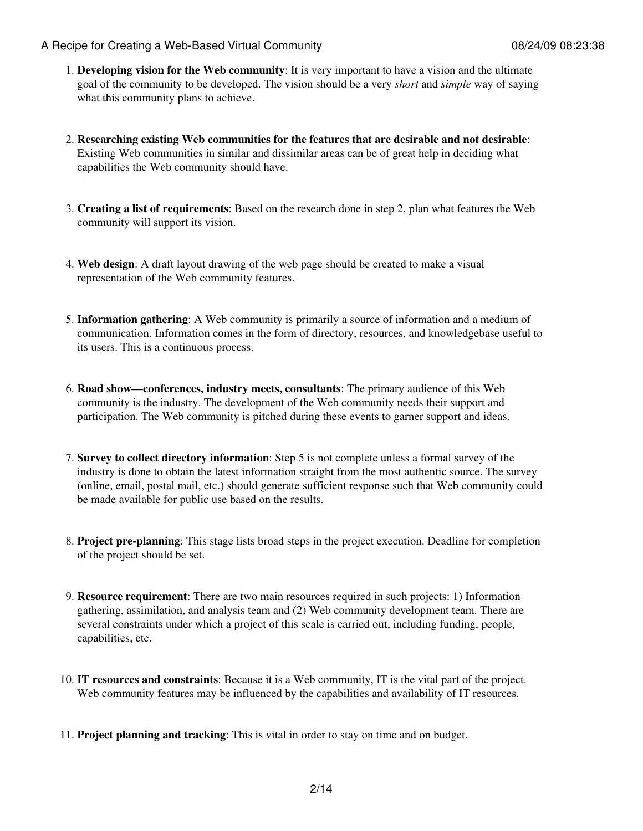- **Developing vision for the Web community**: It is very important to have a vision and the ultimate 1. goal of the community to be developed. The vision should be a very *short* and *simple* way of saying what this community plans to achieve.
- **Researching existing Web communities for the features that are desirable and not desirable**: 2. Existing Web communities in similar and dissimilar areas can be of great help in deciding what capabilities the Web community should have.
- **Creating a list of requirements**: Based on the research done in step 2, plan what features the Web 3. community will support its vision.
- **Web design**: A draft layout drawing of the web page should be created to make a visual 4. representation of the Web community features.
- **Information gathering**: A Web community is primarily a source of information and a medium of 5. communication. Information comes in the form of directory, resources, and knowledgebase useful to its users. This is a continuous process.
- **Road show—conferences, industry meets, consultants**: The primary audience of this Web 6. community is the industry. The development of the Web community needs their support and participation. The Web community is pitched during these events to garner support and ideas.
- **Survey to collect directory information**: Step 5 is not complete unless a formal survey of the 7. industry is done to obtain the latest information straight from the most authentic source. The survey (online, email, postal mail, etc.) should generate sufficient response such that Web community could be made available for public use based on the results.
- **Project pre-planning**: This stage lists broad steps in the project execution. Deadline for completion 8. of the project should be set.
- **Resource requirement**: There are two main resources required in such projects: 1) Information 9. gathering, assimilation, and analysis team and (2) Web community development team. There are several constraints under which a project of this scale is carried out, including funding, people, capabilities, etc.
- **IT resources and constraints**: Because it is a Web community, IT is the vital part of the project. 10. Web community features may be influenced by the capabilities and availability of IT resources.
- 11. **Project planning and tracking**: This is vital in order to stay on time and on budget.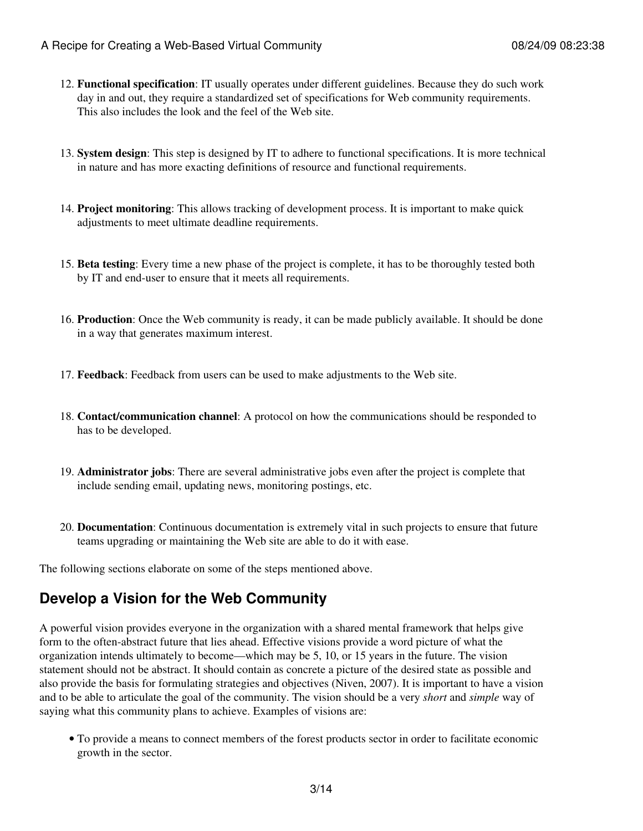- **Functional specification**: IT usually operates under different guidelines. Because they do such work 12. day in and out, they require a standardized set of specifications for Web community requirements. This also includes the look and the feel of the Web site.
- **System design**: This step is designed by IT to adhere to functional specifications. It is more technical 13. in nature and has more exacting definitions of resource and functional requirements.
- **Project monitoring**: This allows tracking of development process. It is important to make quick 14. adjustments to meet ultimate deadline requirements.
- **Beta testing**: Every time a new phase of the project is complete, it has to be thoroughly tested both 15. by IT and end-user to ensure that it meets all requirements.
- **Production**: Once the Web community is ready, it can be made publicly available. It should be done 16. in a way that generates maximum interest.
- 17. **Feedback**: Feedback from users can be used to make adjustments to the Web site.
- **Contact/communication channel**: A protocol on how the communications should be responded to 18. has to be developed.
- **Administrator jobs**: There are several administrative jobs even after the project is complete that 19. include sending email, updating news, monitoring postings, etc.
- **Documentation**: Continuous documentation is extremely vital in such projects to ensure that future 20. teams upgrading or maintaining the Web site are able to do it with ease.

The following sections elaborate on some of the steps mentioned above.

### **Develop a Vision for the Web Community**

A powerful vision provides everyone in the organization with a shared mental framework that helps give form to the often-abstract future that lies ahead. Effective visions provide a word picture of what the organization intends ultimately to become—which may be 5, 10, or 15 years in the future. The vision statement should not be abstract. It should contain as concrete a picture of the desired state as possible and also provide the basis for formulating strategies and objectives (Niven, 2007). It is important to have a vision and to be able to articulate the goal of the community. The vision should be a very *short* and *simple* way of saying what this community plans to achieve. Examples of visions are:

To provide a means to connect members of the forest products sector in order to facilitate economic • growth in the sector.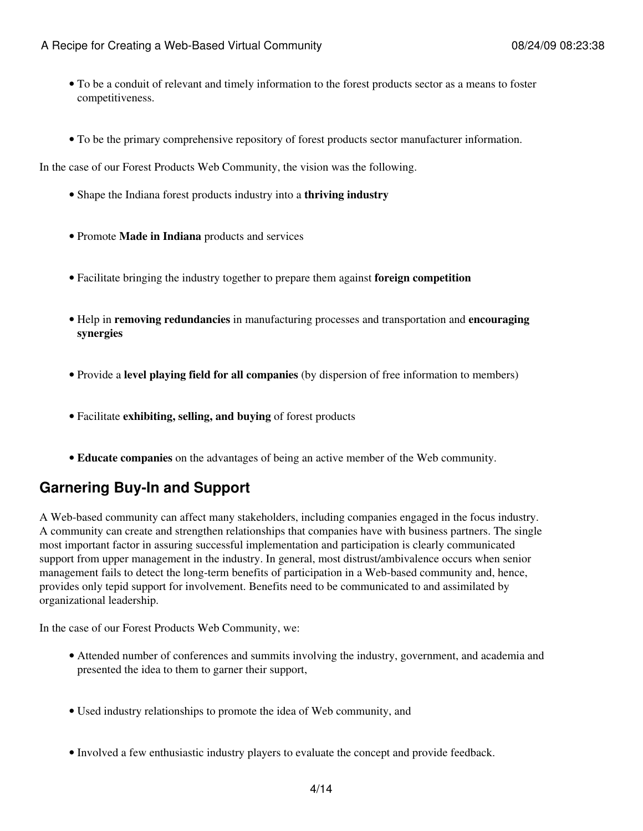- To be a conduit of relevant and timely information to the forest products sector as a means to foster competitiveness.
- To be the primary comprehensive repository of forest products sector manufacturer information.

In the case of our Forest Products Web Community, the vision was the following.

- Shape the Indiana forest products industry into a **thriving industry**
- Promote **Made in Indiana** products and services
- Facilitate bringing the industry together to prepare them against **foreign competition**
- Help in **removing redundancies** in manufacturing processes and transportation and **encouraging synergies**
- Provide a **level playing field for all companies** (by dispersion of free information to members)
- Facilitate **exhibiting, selling, and buying** of forest products
- **Educate companies** on the advantages of being an active member of the Web community.

### **Garnering Buy-In and Support**

A Web-based community can affect many stakeholders, including companies engaged in the focus industry. A community can create and strengthen relationships that companies have with business partners. The single most important factor in assuring successful implementation and participation is clearly communicated support from upper management in the industry. In general, most distrust/ambivalence occurs when senior management fails to detect the long-term benefits of participation in a Web-based community and, hence, provides only tepid support for involvement. Benefits need to be communicated to and assimilated by organizational leadership.

In the case of our Forest Products Web Community, we:

- Attended number of conferences and summits involving the industry, government, and academia and presented the idea to them to garner their support,
- Used industry relationships to promote the idea of Web community, and
- Involved a few enthusiastic industry players to evaluate the concept and provide feedback.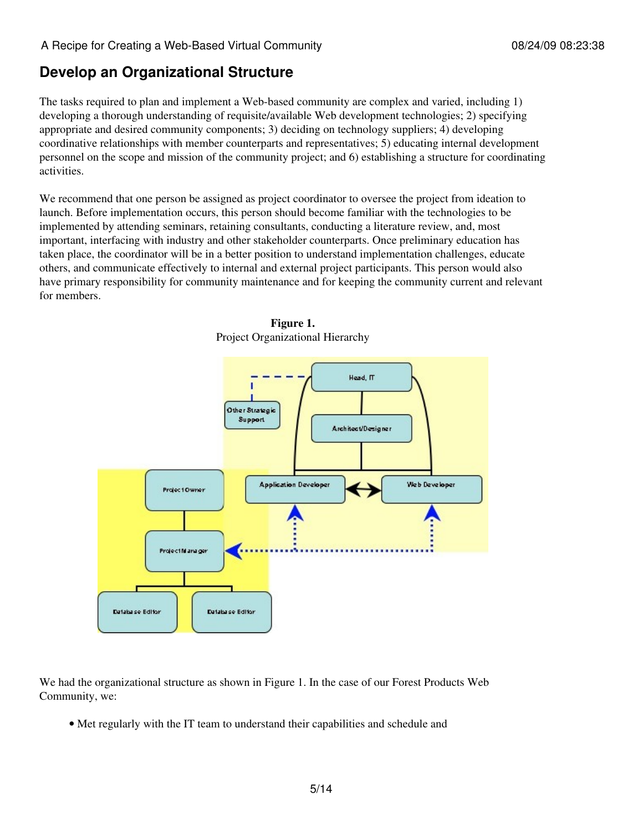### **Develop an Organizational Structure**

The tasks required to plan and implement a Web-based community are complex and varied, including 1) developing a thorough understanding of requisite/available Web development technologies; 2) specifying appropriate and desired community components; 3) deciding on technology suppliers; 4) developing coordinative relationships with member counterparts and representatives; 5) educating internal development personnel on the scope and mission of the community project; and 6) establishing a structure for coordinating activities.

We recommend that one person be assigned as project coordinator to oversee the project from ideation to launch. Before implementation occurs, this person should become familiar with the technologies to be implemented by attending seminars, retaining consultants, conducting a literature review, and, most important, interfacing with industry and other stakeholder counterparts. Once preliminary education has taken place, the coordinator will be in a better position to understand implementation challenges, educate others, and communicate effectively to internal and external project participants. This person would also have primary responsibility for community maintenance and for keeping the community current and relevant for members.





We had the organizational structure as shown in Figure 1. In the case of our Forest Products Web Community, we:

• Met regularly with the IT team to understand their capabilities and schedule and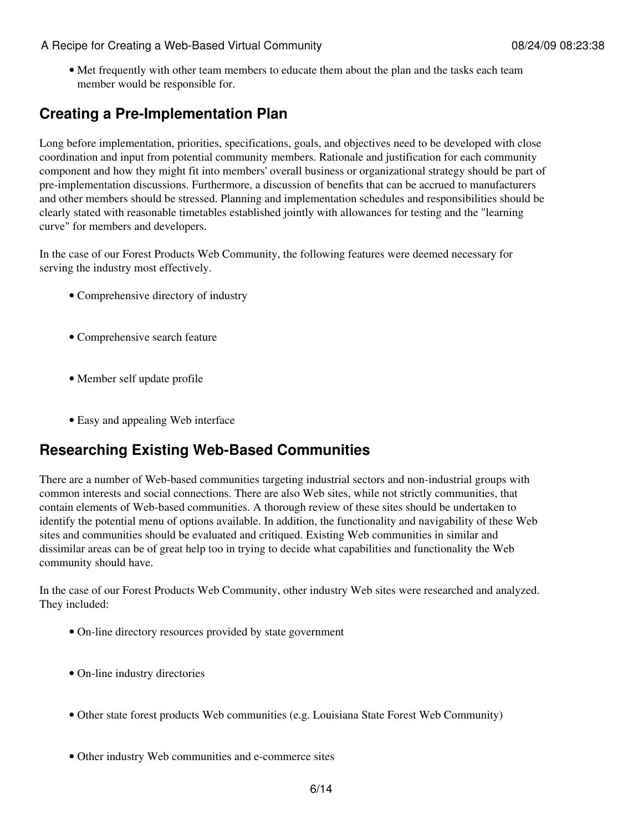• Met frequently with other team members to educate them about the plan and the tasks each team member would be responsible for.

### **Creating a Pre-Implementation Plan**

Long before implementation, priorities, specifications, goals, and objectives need to be developed with close coordination and input from potential community members. Rationale and justification for each community component and how they might fit into members' overall business or organizational strategy should be part of pre-implementation discussions. Furthermore, a discussion of benefits that can be accrued to manufacturers and other members should be stressed. Planning and implementation schedules and responsibilities should be clearly stated with reasonable timetables established jointly with allowances for testing and the "learning curve" for members and developers.

In the case of our Forest Products Web Community, the following features were deemed necessary for serving the industry most effectively.

- Comprehensive directory of industry
- Comprehensive search feature
- Member self update profile
- Easy and appealing Web interface

### **Researching Existing Web-Based Communities**

There are a number of Web-based communities targeting industrial sectors and non-industrial groups with common interests and social connections. There are also Web sites, while not strictly communities, that contain elements of Web-based communities. A thorough review of these sites should be undertaken to identify the potential menu of options available. In addition, the functionality and navigability of these Web sites and communities should be evaluated and critiqued. Existing Web communities in similar and dissimilar areas can be of great help too in trying to decide what capabilities and functionality the Web community should have.

In the case of our Forest Products Web Community, other industry Web sites were researched and analyzed. They included:

- On-line directory resources provided by state government
- On-line industry directories
- Other state forest products Web communities (e.g. Louisiana State Forest Web Community)
- Other industry Web communities and e-commerce sites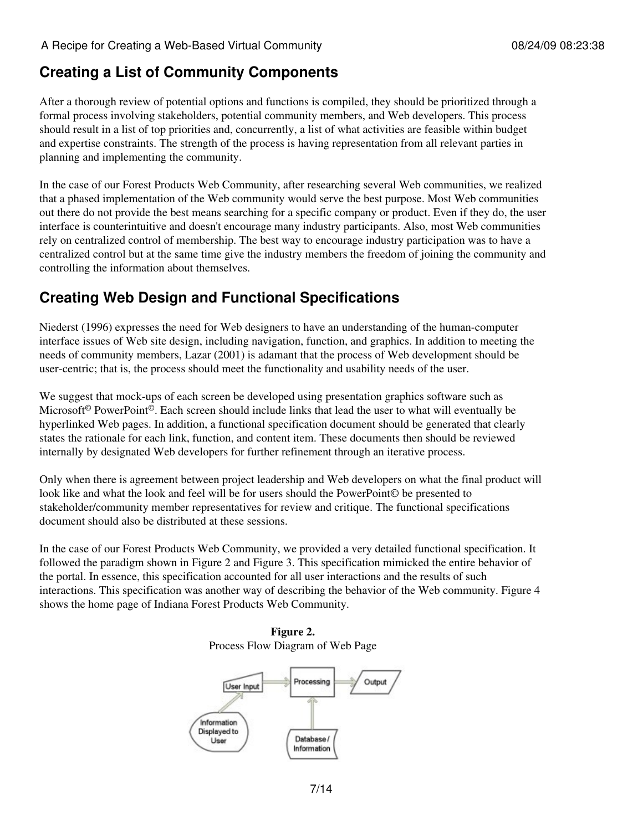## **Creating a List of Community Components**

After a thorough review of potential options and functions is compiled, they should be prioritized through a formal process involving stakeholders, potential community members, and Web developers. This process should result in a list of top priorities and, concurrently, a list of what activities are feasible within budget and expertise constraints. The strength of the process is having representation from all relevant parties in planning and implementing the community.

In the case of our Forest Products Web Community, after researching several Web communities, we realized that a phased implementation of the Web community would serve the best purpose. Most Web communities out there do not provide the best means searching for a specific company or product. Even if they do, the user interface is counterintuitive and doesn't encourage many industry participants. Also, most Web communities rely on centralized control of membership. The best way to encourage industry participation was to have a centralized control but at the same time give the industry members the freedom of joining the community and controlling the information about themselves.

## **Creating Web Design and Functional Specifications**

Niederst (1996) expresses the need for Web designers to have an understanding of the human-computer interface issues of Web site design, including navigation, function, and graphics. In addition to meeting the needs of community members, Lazar (2001) is adamant that the process of Web development should be user-centric; that is, the process should meet the functionality and usability needs of the user.

We suggest that mock-ups of each screen be developed using presentation graphics software such as Microsoft<sup>©</sup> PowerPoint<sup>©</sup>. Each screen should include links that lead the user to what will eventually be hyperlinked Web pages. In addition, a functional specification document should be generated that clearly states the rationale for each link, function, and content item. These documents then should be reviewed internally by designated Web developers for further refinement through an iterative process.

Only when there is agreement between project leadership and Web developers on what the final product will look like and what the look and feel will be for users should the PowerPoint© be presented to stakeholder/community member representatives for review and critique. The functional specifications document should also be distributed at these sessions.

In the case of our Forest Products Web Community, we provided a very detailed functional specification. It followed the paradigm shown in Figure 2 and Figure 3. This specification mimicked the entire behavior of the portal. In essence, this specification accounted for all user interactions and the results of such interactions. This specification was another way of describing the behavior of the Web community. Figure 4 shows the home page of Indiana Forest Products Web Community.

**Figure 2.** Process Flow Diagram of Web Page

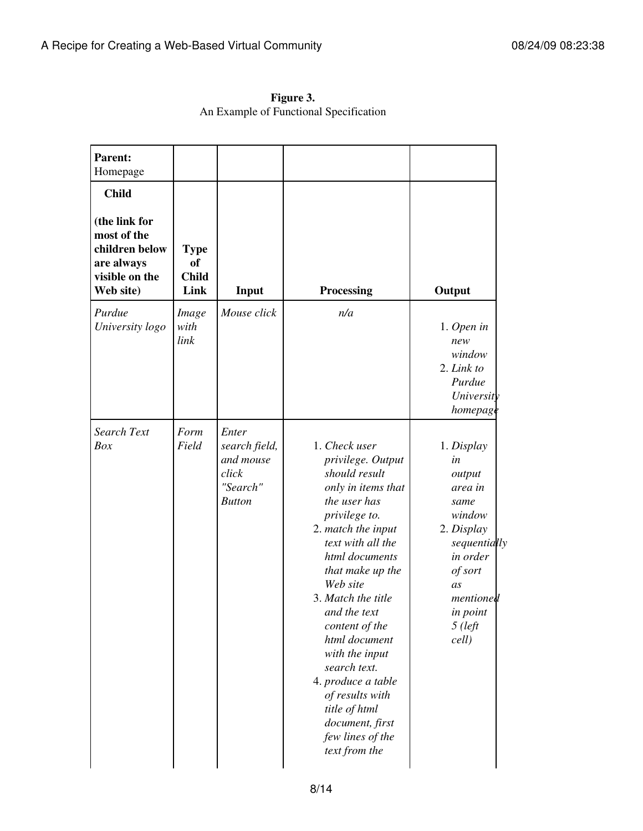| Parent:<br>Homepage                                                                                         |                                                  |                                                                           |                                                                                                                                                                                                                                                                                                                                                                                                                                      |                                                                                                                                                                   |
|-------------------------------------------------------------------------------------------------------------|--------------------------------------------------|---------------------------------------------------------------------------|--------------------------------------------------------------------------------------------------------------------------------------------------------------------------------------------------------------------------------------------------------------------------------------------------------------------------------------------------------------------------------------------------------------------------------------|-------------------------------------------------------------------------------------------------------------------------------------------------------------------|
| <b>Child</b><br>(the link for<br>most of the<br>children below<br>are always<br>visible on the<br>Web site) | <b>Type</b><br><b>of</b><br><b>Child</b><br>Link | Input                                                                     | Processing                                                                                                                                                                                                                                                                                                                                                                                                                           | Output                                                                                                                                                            |
| Purdue<br>University logo                                                                                   | Image<br>with<br>link                            | Mouse click                                                               | n/a                                                                                                                                                                                                                                                                                                                                                                                                                                  | $1.$ Open in<br>new<br>window<br>2. Link to<br>Purdue<br>University<br>homepage                                                                                   |
| <b>Search Text</b><br>Box                                                                                   | Form<br>Field                                    | Enter<br>search field,<br>and mouse<br>click<br>"Search"<br><b>Button</b> | 1. Check user<br>privilege. Output<br>should result<br>only in items that<br>the user has<br>privilege to.<br>2. match the input<br>text with all the<br>html documents<br>that make up the<br>Web site<br>3. Match the title<br>and the text<br>content of the<br>html document<br>with the input<br>search text.<br>4. produce a table<br>of results with<br>title of html<br>document, first<br>few lines of the<br>text from the | 1. Display<br>in<br>output<br>area in<br>same<br>window<br>2. Display<br>sequentially<br>in order<br>of sort<br>as<br>mentioned<br>in point<br>$5$ (left<br>cell) |

**Figure 3.** An Example of Functional Specification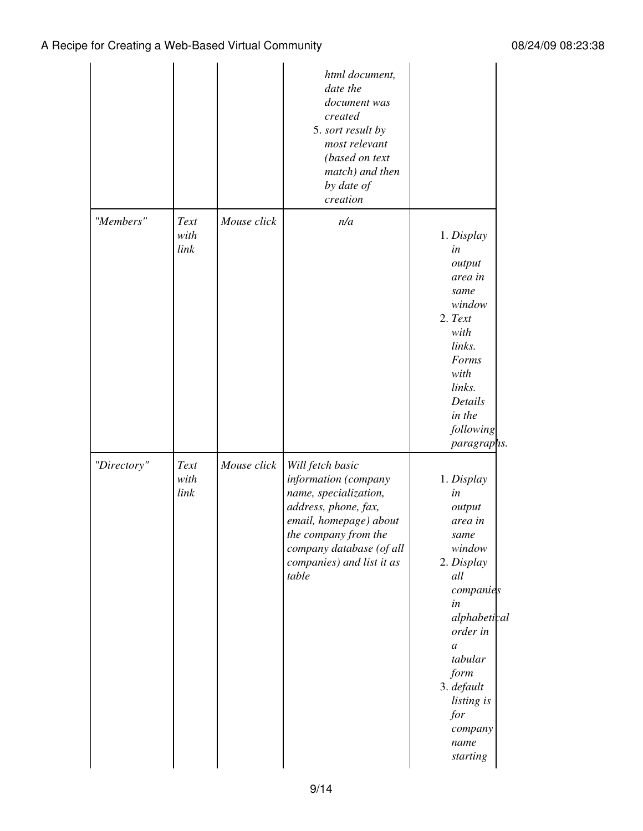|             |                      |             | html document,<br>date the<br>document was<br>created<br>5. sort result by<br>most relevant<br>(based on text<br>match) and then<br>by date of<br>creation                                                    |                                                                                                                                                                                                                                      |
|-------------|----------------------|-------------|---------------------------------------------------------------------------------------------------------------------------------------------------------------------------------------------------------------|--------------------------------------------------------------------------------------------------------------------------------------------------------------------------------------------------------------------------------------|
| "Members"   | Text<br>with<br>link | Mouse click | n/a                                                                                                                                                                                                           | 1. Display<br>in<br>output<br>area in<br>same<br>window<br>2. Text<br>with<br>links.<br>Forms<br>with<br>links.<br>Details<br>in the<br>following<br><i>paragraphs.</i>                                                              |
| "Directory" | Text<br>with<br>link | Mouse click | Will fetch basic<br>information (company<br>name, specialization,<br>address, phone, fax,<br>email, homepage) about<br>the company from the<br>company database (of all<br>companies) and list it as<br>table | 1. Display<br>in<br>output<br>area in<br>same<br>window<br>2. Display<br>all<br>companies<br>in<br>alphabetical<br>order in<br>$\boldsymbol{a}$<br>tabular<br>form<br>3. default<br>listing is<br>for<br>company<br>name<br>starting |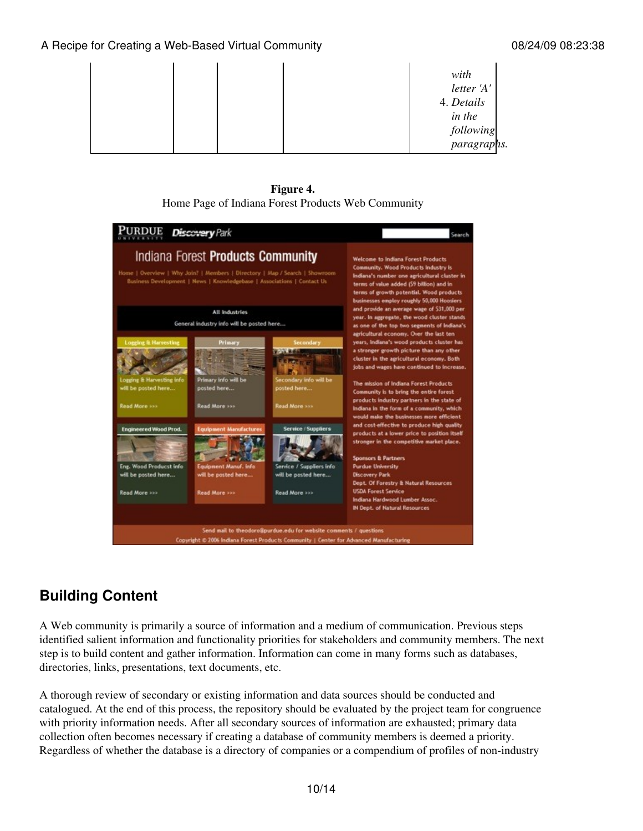|  | with                     |  |
|--|--------------------------|--|
|  | letter 'A'               |  |
|  | 4. Details               |  |
|  | in the                   |  |
|  |                          |  |
|  | following<br>paragraphs. |  |

**Figure 4.** Home Page of Indiana Forest Products Web Community



# **Building Content**

A Web community is primarily a source of information and a medium of communication. Previous steps identified salient information and functionality priorities for stakeholders and community members. The next step is to build content and gather information. Information can come in many forms such as databases, directories, links, presentations, text documents, etc.

A thorough review of secondary or existing information and data sources should be conducted and catalogued. At the end of this process, the repository should be evaluated by the project team for congruence with priority information needs. After all secondary sources of information are exhausted; primary data collection often becomes necessary if creating a database of community members is deemed a priority. Regardless of whether the database is a directory of companies or a compendium of profiles of non-industry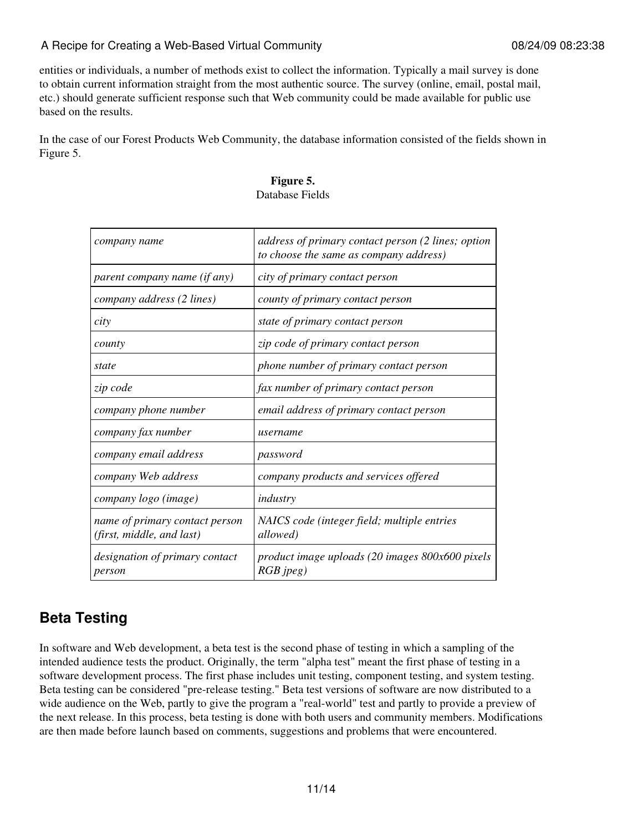entities or individuals, a number of methods exist to collect the information. Typically a mail survey is done to obtain current information straight from the most authentic source. The survey (online, email, postal mail, etc.) should generate sufficient response such that Web community could be made available for public use based on the results.

In the case of our Forest Products Web Community, the database information consisted of the fields shown in Figure 5.

| company name                                                | address of primary contact person (2 lines; option<br>to choose the same as company address) |
|-------------------------------------------------------------|----------------------------------------------------------------------------------------------|
| parent company name (if any)                                | city of primary contact person                                                               |
| company address (2 lines)                                   | county of primary contact person                                                             |
| city                                                        | state of primary contact person                                                              |
| county                                                      | zip code of primary contact person                                                           |
| state                                                       | phone number of primary contact person                                                       |
| zip code                                                    | fax number of primary contact person                                                         |
| company phone number                                        | email address of primary contact person                                                      |
| company fax number                                          | username                                                                                     |
| company email address                                       | password                                                                                     |
| company Web address                                         | company products and services offered                                                        |
| company logo (image)                                        | industry                                                                                     |
| name of primary contact person<br>(first, middle, and last) | NAICS code (integer field; multiple entries<br>allowed)                                      |
| designation of primary contact<br>person                    | product image uploads (20 images 800x600 pixels<br>$RGB$ jpeg)                               |

#### **Figure 5.** Database Fields

# **Beta Testing**

In software and Web development, a beta test is the second phase of testing in which a sampling of the intended audience tests the product. Originally, the term "alpha test" meant the first phase of testing in a software development process. The first phase includes unit testing, component testing, and system testing. Beta testing can be considered "pre-release testing." Beta test versions of software are now distributed to a wide audience on the Web, partly to give the program a "real-world" test and partly to provide a preview of the next release. In this process, beta testing is done with both users and community members. Modifications are then made before launch based on comments, suggestions and problems that were encountered.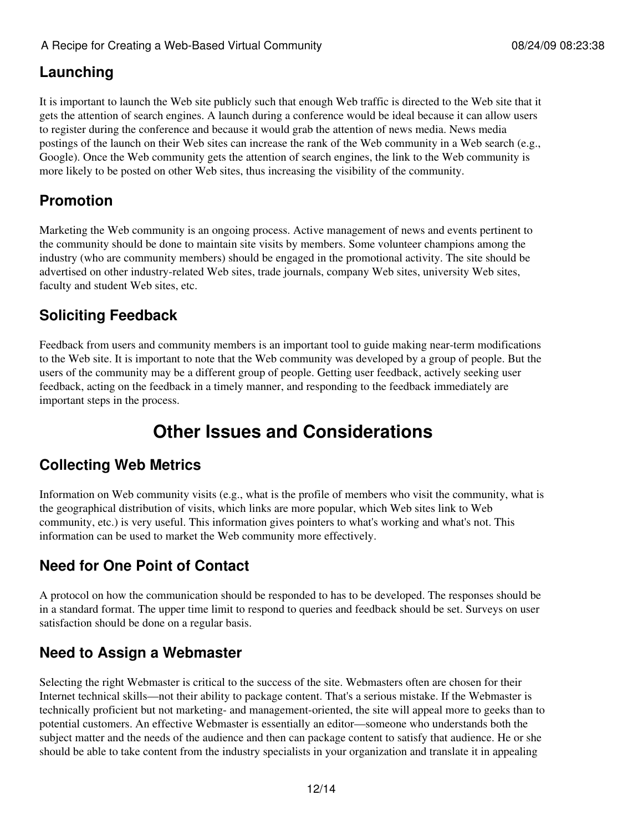### **Launching**

It is important to launch the Web site publicly such that enough Web traffic is directed to the Web site that it gets the attention of search engines. A launch during a conference would be ideal because it can allow users to register during the conference and because it would grab the attention of news media. News media postings of the launch on their Web sites can increase the rank of the Web community in a Web search (e.g., Google). Once the Web community gets the attention of search engines, the link to the Web community is more likely to be posted on other Web sites, thus increasing the visibility of the community.

## **Promotion**

Marketing the Web community is an ongoing process. Active management of news and events pertinent to the community should be done to maintain site visits by members. Some volunteer champions among the industry (who are community members) should be engaged in the promotional activity. The site should be advertised on other industry-related Web sites, trade journals, company Web sites, university Web sites, faculty and student Web sites, etc.

## **Soliciting Feedback**

Feedback from users and community members is an important tool to guide making near-term modifications to the Web site. It is important to note that the Web community was developed by a group of people. But the users of the community may be a different group of people. Getting user feedback, actively seeking user feedback, acting on the feedback in a timely manner, and responding to the feedback immediately are important steps in the process.

# **Other Issues and Considerations**

## **Collecting Web Metrics**

Information on Web community visits (e.g., what is the profile of members who visit the community, what is the geographical distribution of visits, which links are more popular, which Web sites link to Web community, etc.) is very useful. This information gives pointers to what's working and what's not. This information can be used to market the Web community more effectively.

## **Need for One Point of Contact**

A protocol on how the communication should be responded to has to be developed. The responses should be in a standard format. The upper time limit to respond to queries and feedback should be set. Surveys on user satisfaction should be done on a regular basis.

# **Need to Assign a Webmaster**

Selecting the right Webmaster is critical to the success of the site. Webmasters often are chosen for their Internet technical skills—not their ability to package content. That's a serious mistake. If the Webmaster is technically proficient but not marketing- and management-oriented, the site will appeal more to geeks than to potential customers. An effective Webmaster is essentially an editor—someone who understands both the subject matter and the needs of the audience and then can package content to satisfy that audience. He or she should be able to take content from the industry specialists in your organization and translate it in appealing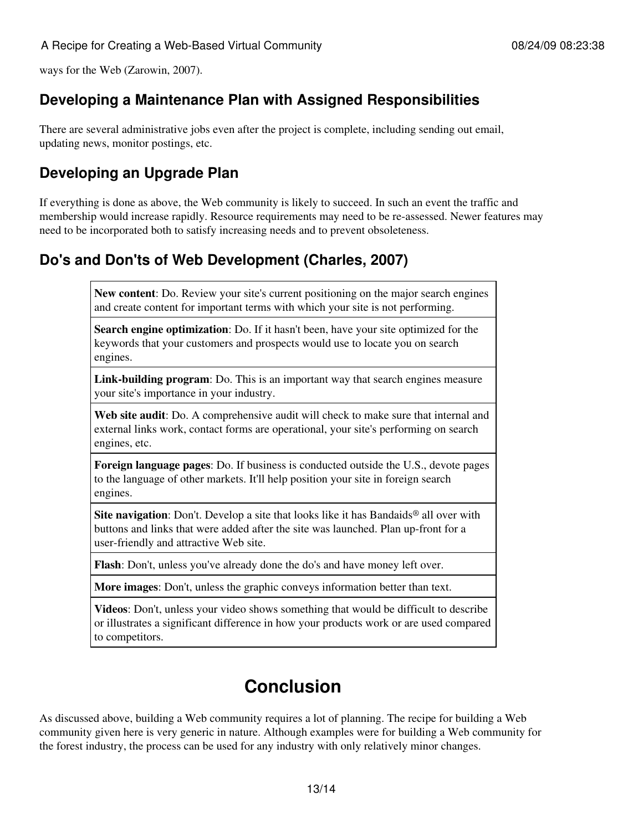ways for the Web (Zarowin, 2007).

### **Developing a Maintenance Plan with Assigned Responsibilities**

There are several administrative jobs even after the project is complete, including sending out email, updating news, monitor postings, etc.

## **Developing an Upgrade Plan**

If everything is done as above, the Web community is likely to succeed. In such an event the traffic and membership would increase rapidly. Resource requirements may need to be re-assessed. Newer features may need to be incorporated both to satisfy increasing needs and to prevent obsoleteness.

### **Do's and Don'ts of Web Development (Charles, 2007)**

**New content**: Do. Review your site's current positioning on the major search engines and create content for important terms with which your site is not performing.

**Search engine optimization**: Do. If it hasn't been, have your site optimized for the keywords that your customers and prospects would use to locate you on search engines.

**Link-building program**: Do. This is an important way that search engines measure your site's importance in your industry.

**Web site audit**: Do. A comprehensive audit will check to make sure that internal and external links work, contact forms are operational, your site's performing on search engines, etc.

**Foreign language pages**: Do. If business is conducted outside the U.S., devote pages to the language of other markets. It'll help position your site in foreign search engines.

**Site navigation**: Don't. Develop a site that looks like it has Bandaids<sup>®</sup> all over with buttons and links that were added after the site was launched. Plan up-front for a user-friendly and attractive Web site.

**Flash**: Don't, unless you've already done the do's and have money left over.

**More images**: Don't, unless the graphic conveys information better than text.

**Videos**: Don't, unless your video shows something that would be difficult to describe or illustrates a significant difference in how your products work or are used compared to competitors.

# **Conclusion**

As discussed above, building a Web community requires a lot of planning. The recipe for building a Web community given here is very generic in nature. Although examples were for building a Web community for the forest industry, the process can be used for any industry with only relatively minor changes.